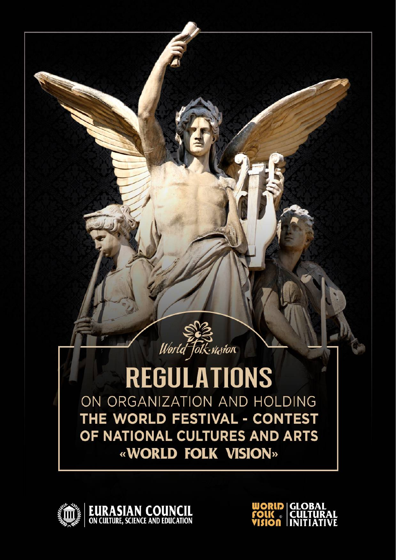



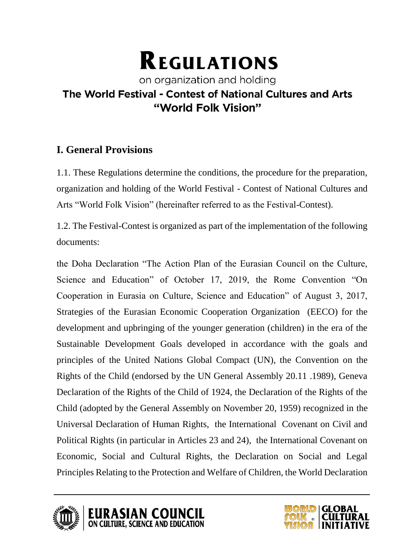# **REGULATIONS**

## on organization and holding The World Festival - Contest of National Cultures and Arts "World Folk Vision"

## **I. General Provisions**

1.1. These Regulations determine the conditions, the procedure for the preparation, organization and holding of the World Festival - Contest of National Cultures and Arts "World Folk Vision" (hereinafter referred to as the Festival-Contest).

1.2. The Festival-Contest is organized as part of the implementation of the following documents:

the Doha Declaration "The Action Plan of the Eurasian Council on the Culture, Science and Education" of October 17, 2019, the Rome Convention "On Cooperation in Eurasia on Culture, Science and Education" of August 3, 2017, Strategies of the Eurasian Economic Cooperation Organization (EECO) for the development and upbringing of the younger generation (children) in the era of the Sustainable Development Goals developed in accordance with the goals and principles of the United Nations Global Compact (UN), the Convention on the Rights of the Child (endorsed by the UN General Assembly 20.11 .1989), Geneva Declaration of the Rights of the Child of 1924, the Declaration of the Rights of the Child (adopted by the General Assembly on November 20, 1959) recognized in the Universal Declaration of Human Rights, the International Covenant on Civil and Political Rights (in particular in Articles 23 and 24), the International Covenant on Economic, Social and Cultural Rights, the Declaration on Social and Legal Principles Relating to the Protection and Welfare of Children, the World Declaration





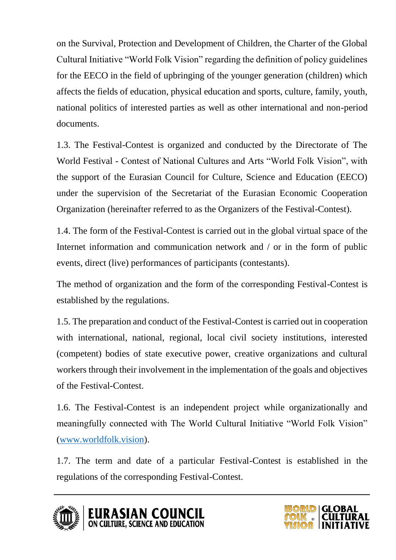on the Survival, Protection and Development of Children, the Charter of the Global Cultural Initiative "World Folk Vision" regarding the definition of policy guidelines for the EECO in the field of upbringing of the younger generation (children) which affects the fields of education, physical education and sports, culture, family, youth, national politics of interested parties as well as other international and non-period documents.

1.3. The Festival-Contest is organized and conducted by the Directorate of The World Festival - Contest of National Cultures and Arts "World Folk Vision", with the support of the Eurasian Council for Culture, Science and Education (EECO) under the supervision of the Secretariat of the Eurasian Economic Cooperation Organization (hereinafter referred to as the Organizers of the Festival-Contest).

1.4. The form of the Festival-Contest is carried out in the global virtual space of the Internet information and communication network and / or in the form of public events, direct (live) performances of participants (contestants).

The method of organization and the form of the corresponding Festival-Contest is established by the regulations.

1.5. The preparation and conduct of the Festival-Contest is carried out in cooperation with international, national, regional, local civil society institutions, interested (competent) bodies of state executive power, creative organizations and cultural workers through their involvement in the implementation of the goals and objectives of the Festival-Contest.

1.6. The Festival-Contest is an independent project while organizationally and meaningfully connected with The World Cultural Initiative "World Folk Vision" [\(www.worldfolk.vision\)](http://www.worldfolk.vision/).

1.7. The term and date of a particular Festival-Contest is established in the regulations of the corresponding Festival-Contest.





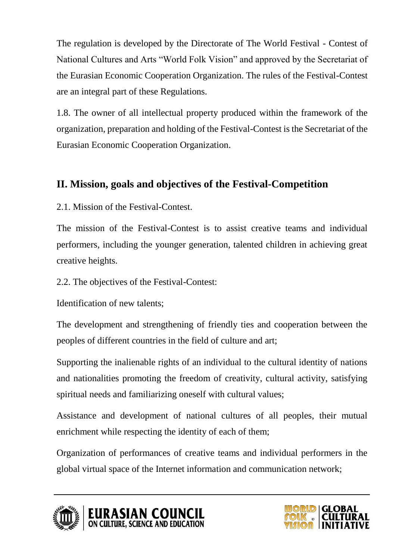The regulation is developed by the Directorate of The World Festival - Contest of National Cultures and Arts "World Folk Vision" and approved by the Secretariat of the Eurasian Economic Cooperation Organization. The rules of the Festival-Contest are an integral part of these Regulations.

1.8. The owner of all intellectual property produced within the framework of the organization, preparation and holding of the Festival-Contest is the Secretariat of the Eurasian Economic Cooperation Organization.

## **II. Mission, goals and objectives of the Festival-Competition**

2.1. Mission of the Festival-Contest.

The mission of the Festival-Contest is to assist creative teams and individual performers, including the younger generation, talented children in achieving great creative heights.

2.2. The objectives of the Festival-Contest:

Identification of new talents;

The development and strengthening of friendly ties and cooperation between the peoples of different countries in the field of culture and art;

Supporting the inalienable rights of an individual to the cultural identity of nations and nationalities promoting the freedom of creativity, cultural activity, satisfying spiritual needs and familiarizing oneself with cultural values;

Assistance and development of national cultures of all peoples, their mutual enrichment while respecting the identity of each of them;

Organization of performances of creative teams and individual performers in the global virtual space of the Internet information and communication network;





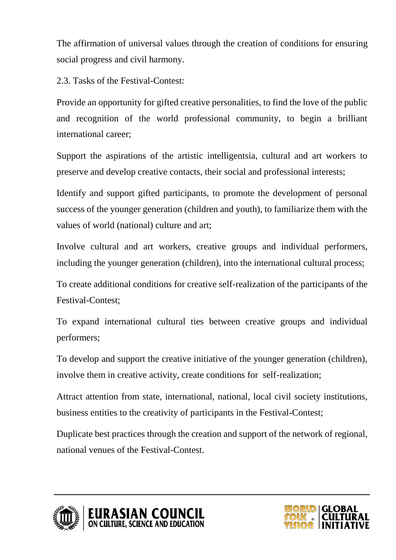The affirmation of universal values through the creation of conditions for ensuring social progress and civil harmony.

2.3. Tasks of the Festival-Contest:

Provide an opportunity for gifted creative personalities, to find the love of the public and recognition of the world professional community, to begin a brilliant international career;

Support the aspirations of the artistic intelligentsia, cultural and art workers to preserve and develop creative contacts, their social and professional interests;

Identify and support gifted participants, to promote the development of personal success of the younger generation (children and youth), to familiarize them with the values of world (national) culture and art;

Involve cultural and art workers, creative groups and individual performers, including the younger generation (children), into the international cultural process;

To create additional conditions for creative self-realization of the participants of the Festival-Contest;

To expand international cultural ties between creative groups and individual performers;

To develop and support the creative initiative of the younger generation (children), involve them in creative activity, create conditions for self-realization;

Attract attention from state, international, national, local civil society institutions, business entities to the creativity of participants in the Festival-Contest;

Duplicate best practices through the creation and support of the network of regional, national venues of the Festival-Contest.





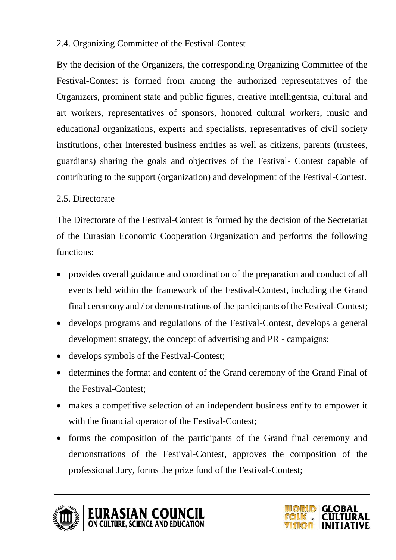#### 2.4. Organizing Committee of the Festival-Contest

By the decision of the Organizers, the corresponding Organizing Committee of the Festival-Contest is formed from among the authorized representatives of the Organizers, prominent state and public figures, creative intelligentsia, cultural and art workers, representatives of sponsors, honored cultural workers, music and educational organizations, experts and specialists, representatives of civil society institutions, other interested business entities as well as citizens, parents (trustees, guardians) sharing the goals and objectives of the Festival- Contest capable of contributing to the support (organization) and development of the Festival-Contest.

#### 2.5. Directorate

The Directorate of the Festival-Contest is formed by the decision of the Secretariat of the Eurasian Economic Cooperation Organization and performs the following functions:

- provides overall guidance and coordination of the preparation and conduct of all events held within the framework of the Festival-Contest, including the Grand final ceremony and / or demonstrations of the participants of the Festival-Contest;
- develops programs and regulations of the Festival-Contest, develops a general development strategy, the concept of advertising and PR - campaigns;
- develops symbols of the Festival-Contest;
- determines the format and content of the Grand ceremony of the Grand Final of the Festival-Contest;
- makes a competitive selection of an independent business entity to empower it with the financial operator of the Festival-Contest;
- forms the composition of the participants of the Grand final ceremony and demonstrations of the Festival-Contest, approves the composition of the professional Jury, forms the prize fund of the Festival-Contest;





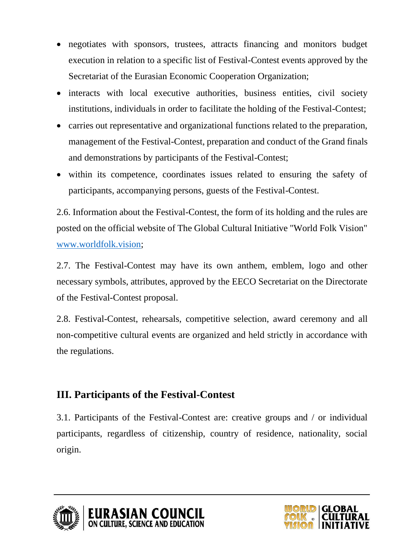- negotiates with sponsors, trustees, attracts financing and monitors budget execution in relation to a specific list of Festival-Contest events approved by the Secretariat of the Eurasian Economic Cooperation Organization;
- interacts with local executive authorities, business entities, civil society institutions, individuals in order to facilitate the holding of the Festival-Contest;
- carries out representative and organizational functions related to the preparation, management of the Festival-Contest, preparation and conduct of the Grand finals and demonstrations by participants of the Festival-Contest;
- within its competence, coordinates issues related to ensuring the safety of participants, accompanying persons, guests of the Festival-Contest.

2.6. Information about the Festival-Contest, the form of its holding and the rules are posted on the official website of The Global Cultural Initiative "World Folk Vision" [www.worldfolk.vision;](http://www.worldfolk.vision/)

2.7. The Festival-Contest may have its own anthem, emblem, logo and other necessary symbols, attributes, approved by the EECO Secretariat on the Directorate of the Festival-Contest proposal.

2.8. Festival-Contest, rehearsals, competitive selection, award ceremony and all non-competitive cultural events are organized and held strictly in accordance with the regulations.

## **III. Participants of the Festival-Contest**

3.1. Participants of the Festival-Contest are: creative groups and / or individual participants, regardless of citizenship, country of residence, nationality, social origin.



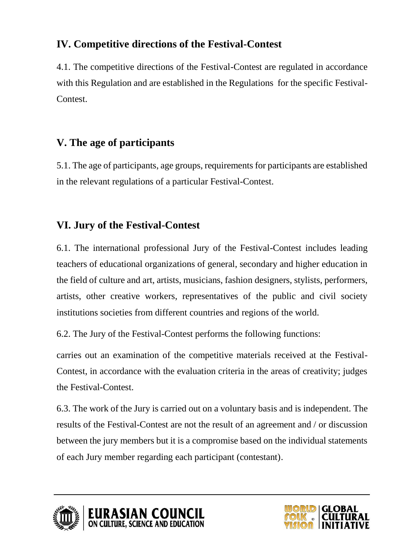## **IV. Competitive directions of the Festival-Contest**

4.1. The competitive directions of the Festival-Contest are regulated in accordance with this Regulation and are established in the Regulations for the specific Festival-Contest.

## **V. The age of participants**

5.1. The age of participants, age groups, requirements for participants are established in the relevant regulations of a particular Festival-Contest.

## **VI. Jury of the Festival-Contest**

6.1. The international professional Jury of the Festival-Contest includes leading teachers of educational organizations of general, secondary and higher education in the field of culture and art, artists, musicians, fashion designers, stylists, performers, artists, other creative workers, representatives of the public and civil society institutions societies from different countries and regions of the world.

6.2. The Jury of the Festival-Contest performs the following functions:

carries out an examination of the competitive materials received at the Festival-Contest, in accordance with the evaluation criteria in the areas of creativity; judges the Festival-Contest.

6.3. The work of the Jury is carried out on a voluntary basis and is independent. The results of the Festival-Contest are not the result of an agreement and / or discussion between the jury members but it is a compromise based on the individual statements of each Jury member regarding each participant (contestant).





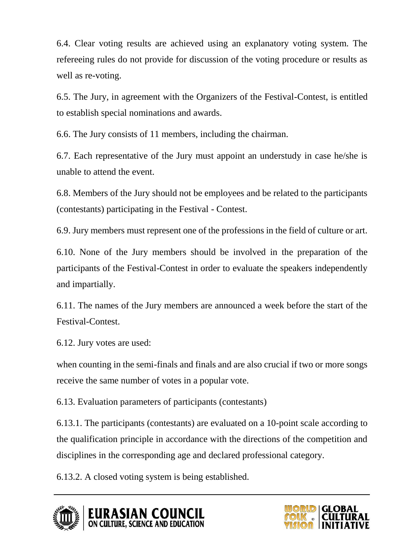6.4. Clear voting results are achieved using an explanatory voting system. The refereeing rules do not provide for discussion of the voting procedure or results as well as re-voting.

6.5. The Jury, in agreement with the Organizers of the Festival-Contest, is entitled to establish special nominations and awards.

6.6. The Jury consists of 11 members, including the chairman.

6.7. Each representative of the Jury must appoint an understudy in case he/she is unable to attend the event.

6.8. Members of the Jury should not be employees and be related to the participants (contestants) participating in the Festival - Contest.

6.9. Jury members must represent one of the professions in the field of culture or art.

6.10. None of the Jury members should be involved in the preparation of the participants of the Festival-Contest in order to evaluate the speakers independently and impartially.

6.11. The names of the Jury members are announced a week before the start of the Festival-Contest.

6.12. Jury votes are used:

when counting in the semi-finals and finals and are also crucial if two or more songs receive the same number of votes in a popular vote.

6.13. Evaluation parameters of participants (contestants)

6.13.1. The participants (contestants) are evaluated on a 10-point scale according to the qualification principle in accordance with the directions of the competition and disciplines in the corresponding age and declared professional category.

6.13.2. A closed voting system is being established.





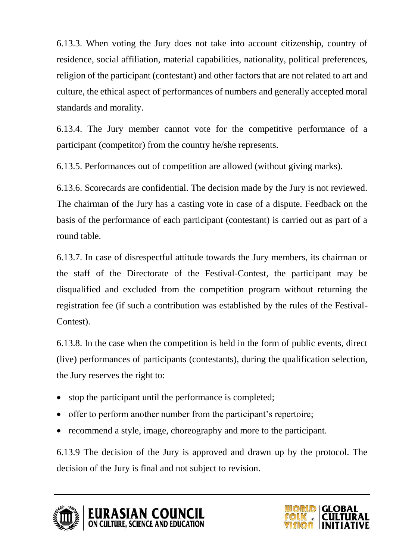6.13.3. When voting the Jury does not take into account citizenship, country of residence, social affiliation, material capabilities, nationality, political preferences, religion of the participant (contestant) and other factors that are not related to art and culture, the ethical aspect of performances of numbers and generally accepted moral standards and morality.

6.13.4. The Jury member cannot vote for the competitive performance of a participant (competitor) from the country he/she represents.

6.13.5. Performances out of competition are allowed (without giving marks).

6.13.6. Scorecards are confidential. The decision made by the Jury is not reviewed. The chairman of the Jury has a casting vote in case of a dispute. Feedback on the basis of the performance of each participant (contestant) is carried out as part of a round table.

6.13.7. In case of disrespectful attitude towards the Jury members, its chairman or the staff of the Directorate of the Festival-Contest, the participant may be disqualified and excluded from the competition program without returning the registration fee (if such a contribution was established by the rules of the Festival-Contest).

6.13.8. In the case when the competition is held in the form of public events, direct (live) performances of participants (contestants), during the qualification selection, the Jury reserves the right to:

- stop the participant until the performance is completed;
- offer to perform another number from the participant's repertoire;
- recommend a style, image, choreography and more to the participant.

6.13.9 The decision of the Jury is approved and drawn up by the protocol. The decision of the Jury is final and not subject to revision.





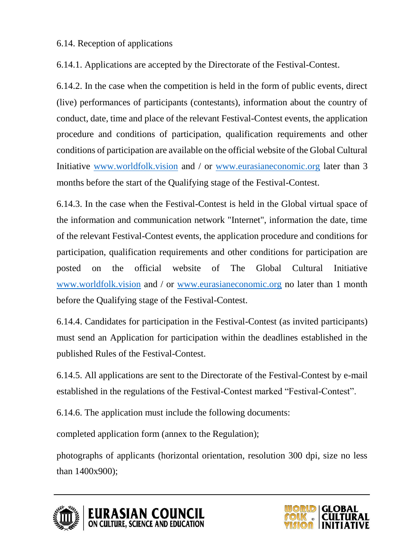#### 6.14. Reception of applications

6.14.1. Applications are accepted by the Directorate of the Festival-Contest.

6.14.2. In the case when the competition is held in the form of public events, direct (live) performances of participants (contestants), information about the country of conduct, date, time and place of the relevant Festival-Contest events, the application procedure and conditions of participation, qualification requirements and other conditions of participation are available on the official website of the Global Cultural Initiative [www.worldfolk.vision](http://www.worldfolk.vision/) and / or [www.eurasianeconomic.org](http://www.eurasianeconomic.org/) later than 3 months before the start of the Qualifying stage of the Festival-Contest.

6.14.3. In the case when the Festival-Contest is held in the Global virtual space of the information and communication network "Internet", information the date, time of the relevant Festival-Contest events, the application procedure and conditions for participation, qualification requirements and other conditions for participation are posted on the official website of The Global Cultural Initiative [www.worldfolk.vision](http://www.worldfolk.vision/) and / or [www.eurasianeconomic.org](http://www.eurasianeconomic.org/) no later than 1 month before the Qualifying stage of the Festival-Contest.

6.14.4. Candidates for participation in the Festival-Contest (as invited participants) must send an Application for participation within the deadlines established in the published Rules of the Festival-Contest.

6.14.5. All applications are sent to the Directorate of the Festival-Contest by e-mail established in the regulations of the Festival-Contest marked "Festival-Contest".

6.14.6. The application must include the following documents:

completed application form (annex to the Regulation);

photographs of applicants (horizontal orientation, resolution 300 dpi, size no less than 1400x900);



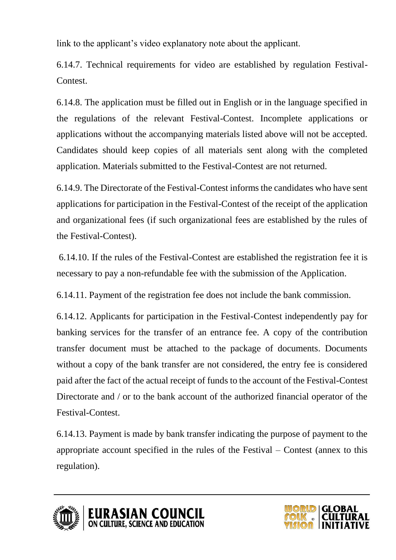link to the applicant's video explanatory note about the applicant.

6.14.7. Technical requirements for video are established by regulation Festival-Contest.

6.14.8. The application must be filled out in English or in the language specified in the regulations of the relevant Festival-Contest. Incomplete applications or applications without the accompanying materials listed above will not be accepted. Candidates should keep copies of all materials sent along with the completed application. Materials submitted to the Festival-Contest are not returned.

6.14.9. The Directorate of the Festival-Contest informs the candidates who have sent applications for participation in the Festival-Contest of the receipt of the application and organizational fees (if such organizational fees are established by the rules of the Festival-Contest).

6.14.10. If the rules of the Festival-Contest are established the registration fee it is necessary to pay a non-refundable fee with the submission of the Application.

6.14.11. Payment of the registration fee does not include the bank commission.

6.14.12. Applicants for participation in the Festival-Contest independently pay for banking services for the transfer of an entrance fee. A copy of the contribution transfer document must be attached to the package of documents. Documents without a copy of the bank transfer are not considered, the entry fee is considered paid after the fact of the actual receipt of funds to the account of the Festival-Contest Directorate and / or to the bank account of the authorized financial operator of the Festival-Contest.

6.14.13. Payment is made by bank transfer indicating the purpose of payment to the appropriate account specified in the rules of the Festival – Contest (annex to this regulation).





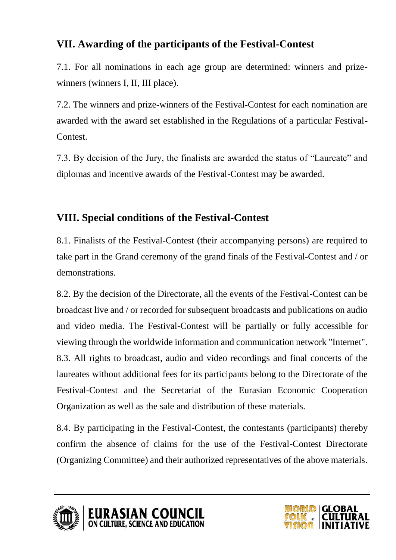## **VII. Awarding of the participants of the Festival-Contest**

7.1. For all nominations in each age group are determined: winners and prizewinners (winners I, II, III place).

7.2. The winners and prize-winners of the Festival-Contest for each nomination are awarded with the award set established in the Regulations of a particular Festival-Contest.

7.3. By decision of the Jury, the finalists are awarded the status of "Laureate" and diplomas and incentive awards of the Festival-Contest may be awarded.

## **VIII. Special conditions of the Festival-Contest**

8.1. Finalists of the Festival-Contest (their accompanying persons) are required to take part in the Grand ceremony of the grand finals of the Festival-Contest and / or demonstrations.

8.2. By the decision of the Directorate, all the events of the Festival-Contest can be broadcast live and / or recorded for subsequent broadcasts and publications on audio and video media. The Festival-Contest will be partially or fully accessible for viewing through the worldwide information and communication network "Internet". 8.3. All rights to broadcast, audio and video recordings and final concerts of the laureates without additional fees for its participants belong to the Directorate of the Festival-Contest and the Secretariat of the Eurasian Economic Cooperation Organization as well as the sale and distribution of these materials.

8.4. By participating in the Festival-Contest, the contestants (participants) thereby confirm the absence of claims for the use of the Festival-Contest Directorate (Organizing Committee) and their authorized representatives of the above materials.





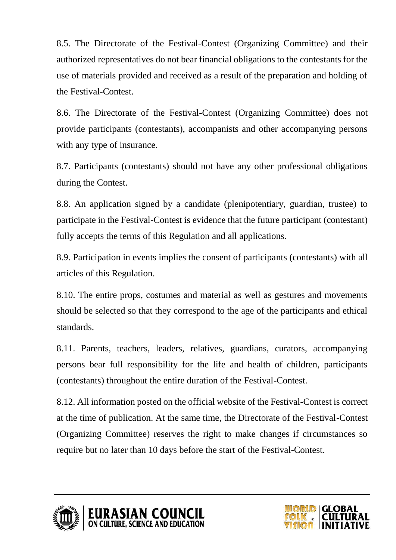8.5. The Directorate of the Festival-Contest (Organizing Committee) and their authorized representatives do not bear financial obligations to the contestants for the use of materials provided and received as a result of the preparation and holding of the Festival-Contest.

8.6. The Directorate of the Festival-Contest (Organizing Committee) does not provide participants (contestants), accompanists and other accompanying persons with any type of insurance.

8.7. Participants (contestants) should not have any other professional obligations during the Contest.

8.8. An application signed by a candidate (plenipotentiary, guardian, trustee) to participate in the Festival-Contest is evidence that the future participant (contestant) fully accepts the terms of this Regulation and all applications.

8.9. Participation in events implies the consent of participants (contestants) with all articles of this Regulation.

8.10. The entire props, costumes and material as well as gestures and movements should be selected so that they correspond to the age of the participants and ethical standards.

8.11. Parents, teachers, leaders, relatives, guardians, curators, accompanying persons bear full responsibility for the life and health of children, participants (contestants) throughout the entire duration of the Festival-Contest.

8.12. All information posted on the official website of the Festival-Contest is correct at the time of publication. At the same time, the Directorate of the Festival-Contest (Organizing Committee) reserves the right to make changes if circumstances so require but no later than 10 days before the start of the Festival-Contest.





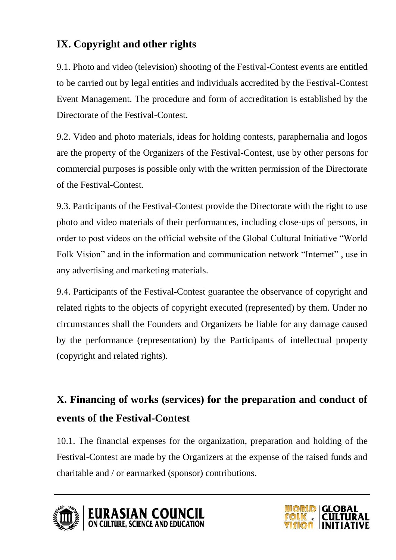## **IX. Copyright and other rights**

9.1. Photo and video (television) shooting of the Festival-Contest events are entitled to be carried out by legal entities and individuals accredited by the Festival-Contest Event Management. The procedure and form of accreditation is established by the Directorate of the Festival-Contest.

9.2. Video and photo materials, ideas for holding contests, paraphernalia and logos are the property of the Organizers of the Festival-Contest, use by other persons for commercial purposes is possible only with the written permission of the Directorate of the Festival-Contest.

9.3. Participants of the Festival-Contest provide the Directorate with the right to use photo and video materials of their performances, including close-ups of persons, in order to post videos on the official website of the Global Cultural Initiative "World Folk Vision" and in the information and communication network "Internet" , use in any advertising and marketing materials.

9.4. Participants of the Festival-Contest guarantee the observance of copyright and related rights to the objects of copyright executed (represented) by them. Under no circumstances shall the Founders and Organizers be liable for any damage caused by the performance (representation) by the Participants of intellectual property (copyright and related rights).

## **X. Financing of works (services) for the preparation and conduct of events of the Festival-Contest**

10.1. The financial expenses for the organization, preparation and holding of the Festival-Contest are made by the Organizers at the expense of the raised funds and charitable and / or earmarked (sponsor) contributions.





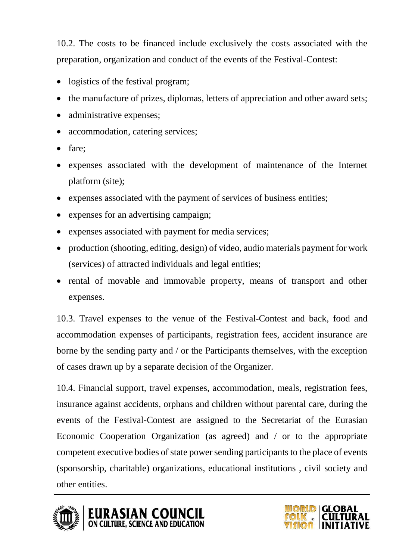10.2. The costs to be financed include exclusively the costs associated with the preparation, organization and conduct of the events of the Festival-Contest:

- logistics of the festival program;
- the manufacture of prizes, diplomas, letters of appreciation and other award sets;
- administrative expenses;
- accommodation, catering services;
- fare;
- expenses associated with the development of maintenance of the Internet platform (site);
- expenses associated with the payment of services of business entities;
- expenses for an advertising campaign;
- expenses associated with payment for media services;
- production (shooting, editing, design) of video, audio materials payment for work (services) of attracted individuals and legal entities;
- rental of movable and immovable property, means of transport and other expenses.

10.3. Travel expenses to the venue of the Festival-Contest and back, food and accommodation expenses of participants, registration fees, accident insurance are borne by the sending party and / or the Participants themselves, with the exception of cases drawn up by a separate decision of the Organizer.

10.4. Financial support, travel expenses, accommodation, meals, registration fees, insurance against accidents, orphans and children without parental care, during the events of the Festival-Contest are assigned to the Secretariat of the Eurasian Economic Cooperation Organization (as agreed) and / or to the appropriate competent executive bodies of state power sending participants to the place of events (sponsorship, charitable) organizations, educational institutions , civil society and other entities.



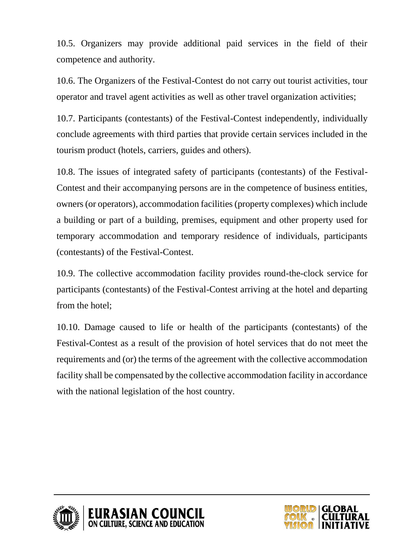10.5. Organizers may provide additional paid services in the field of their competence and authority.

10.6. The Organizers of the Festival-Contest do not carry out tourist activities, tour operator and travel agent activities as well as other travel organization activities;

10.7. Participants (contestants) of the Festival-Contest independently, individually conclude agreements with third parties that provide certain services included in the tourism product (hotels, carriers, guides and others).

10.8. The issues of integrated safety of participants (contestants) of the Festival-Contest and their accompanying persons are in the competence of business entities, owners (or operators), accommodation facilities (property complexes) which include a building or part of a building, premises, equipment and other property used for temporary accommodation and temporary residence of individuals, participants (contestants) of the Festival-Contest.

10.9. The collective accommodation facility provides round-the-clock service for participants (contestants) of the Festival-Contest arriving at the hotel and departing from the hotel;

10.10. Damage caused to life or health of the participants (contestants) of the Festival-Contest as a result of the provision of hotel services that do not meet the requirements and (or) the terms of the agreement with the collective accommodation facility shall be compensated by the collective accommodation facility in accordance with the national legislation of the host country.



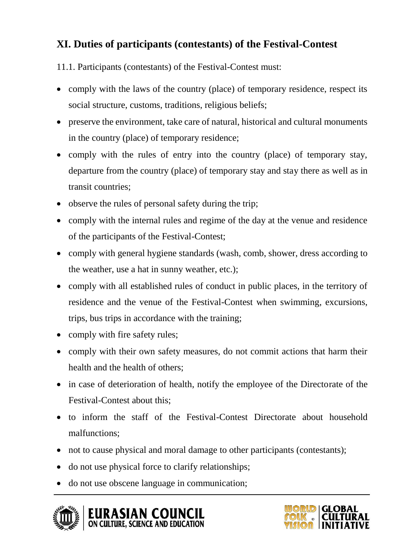## **XI. Duties of participants (contestants) of the Festival-Contest**

11.1. Participants (contestants) of the Festival-Contest must:

- comply with the laws of the country (place) of temporary residence, respect its social structure, customs, traditions, religious beliefs;
- preserve the environment, take care of natural, historical and cultural monuments in the country (place) of temporary residence;
- comply with the rules of entry into the country (place) of temporary stay, departure from the country (place) of temporary stay and stay there as well as in transit countries;
- observe the rules of personal safety during the trip;
- comply with the internal rules and regime of the day at the venue and residence of the participants of the Festival-Contest;
- comply with general hygiene standards (wash, comb, shower, dress according to the weather, use a hat in sunny weather, etc.);
- comply with all established rules of conduct in public places, in the territory of residence and the venue of the Festival-Contest when swimming, excursions, trips, bus trips in accordance with the training;
- comply with fire safety rules;
- comply with their own safety measures, do not commit actions that harm their health and the health of others;
- in case of deterioration of health, notify the employee of the Directorate of the Festival-Contest about this;
- to inform the staff of the Festival-Contest Directorate about household malfunctions;
- not to cause physical and moral damage to other participants (contestants);
- do not use physical force to clarify relationships;
- do not use obscene language in communication;



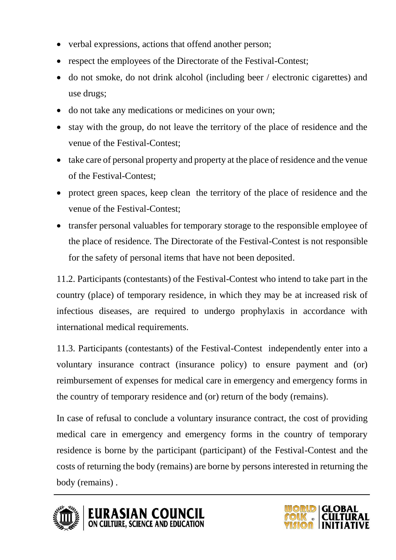- verbal expressions, actions that offend another person;
- respect the employees of the Directorate of the Festival-Contest;
- do not smoke, do not drink alcohol (including beer / electronic cigarettes) and use drugs;
- do not take any medications or medicines on your own;
- stay with the group, do not leave the territory of the place of residence and the venue of the Festival-Contest;
- take care of personal property and property at the place of residence and the venue of the Festival-Contest;
- protect green spaces, keep clean the territory of the place of residence and the venue of the Festival-Contest;
- transfer personal valuables for temporary storage to the responsible employee of the place of residence. The Directorate of the Festival-Contest is not responsible for the safety of personal items that have not been deposited.

11.2. Participants (contestants) of the Festival-Contest who intend to take part in the country (place) of temporary residence, in which they may be at increased risk of infectious diseases, are required to undergo prophylaxis in accordance with international medical requirements.

11.3. Participants (contestants) of the Festival-Contest independently enter into a voluntary insurance contract (insurance policy) to ensure payment and (or) reimbursement of expenses for medical care in emergency and emergency forms in the country of temporary residence and (or) return of the body (remains).

In case of refusal to conclude a voluntary insurance contract, the cost of providing medical care in emergency and emergency forms in the country of temporary residence is borne by the participant (participant) of the Festival-Contest and the costs of returning the body (remains) are borne by persons interested in returning the body (remains) .



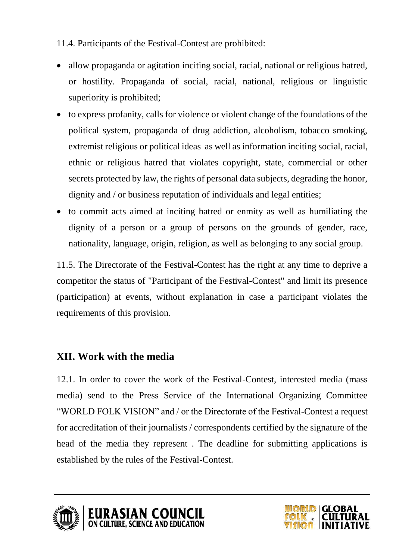11.4. Participants of the Festival-Contest are prohibited:

- allow propaganda or agitation inciting social, racial, national or religious hatred, or hostility. Propaganda of social, racial, national, religious or linguistic superiority is prohibited;
- to express profanity, calls for violence or violent change of the foundations of the political system, propaganda of drug addiction, alcoholism, tobacco smoking, extremist religious or political ideas as well as information inciting social, racial, ethnic or religious hatred that violates copyright, state, commercial or other secrets protected by law, the rights of personal data subjects, degrading the honor, dignity and / or business reputation of individuals and legal entities;
- to commit acts aimed at inciting hatred or enmity as well as humiliating the dignity of a person or a group of persons on the grounds of gender, race, nationality, language, origin, religion, as well as belonging to any social group.

11.5. The Directorate of the Festival-Contest has the right at any time to deprive a competitor the status of "Participant of the Festival-Contest" and limit its presence (participation) at events, without explanation in case a participant violates the requirements of this provision.

## **XII. Work with the media**

12.1. In order to cover the work of the Festival-Contest, interested media (mass media) send to the Press Service of the International Organizing Committee "WORLD FOLK VISION" and / or the Directorate of the Festival-Contest a request for accreditation of their journalists / correspondents certified by the signature of the head of the media they represent . The deadline for submitting applications is established by the rules of the Festival-Contest.





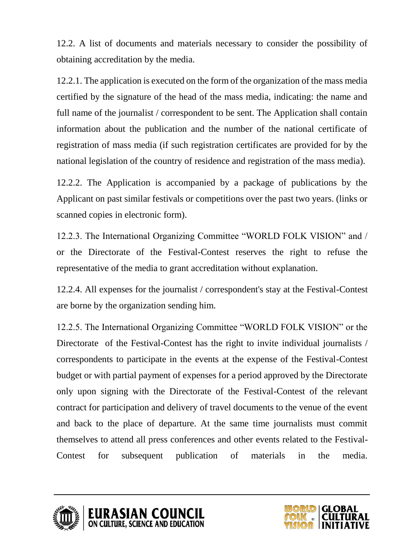12.2. A list of documents and materials necessary to consider the possibility of obtaining accreditation by the media.

12.2.1. The application is executed on the form of the organization of the mass media certified by the signature of the head of the mass media, indicating: the name and full name of the journalist / correspondent to be sent. The Application shall contain information about the publication and the number of the national certificate of registration of mass media (if such registration certificates are provided for by the national legislation of the country of residence and registration of the mass media).

12.2.2. The Application is accompanied by a package of publications by the Applicant on past similar festivals or competitions over the past two years. (links or scanned copies in electronic form).

12.2.3. The International Organizing Committee "WORLD FOLK VISION" and / or the Directorate of the Festival-Contest reserves the right to refuse the representative of the media to grant accreditation without explanation.

12.2.4. All expenses for the journalist / correspondent's stay at the Festival-Contest are borne by the organization sending him.

12.2.5. The International Organizing Committee "WORLD FOLK VISION" or the Directorate of the Festival-Contest has the right to invite individual journalists / correspondents to participate in the events at the expense of the Festival-Contest budget or with partial payment of expenses for a period approved by the Directorate only upon signing with the Directorate of the Festival-Contest of the relevant contract for participation and delivery of travel documents to the venue of the event and back to the place of departure. At the same time journalists must commit themselves to attend all press conferences and other events related to the Festival-Contest for subsequent publication of materials in the media.





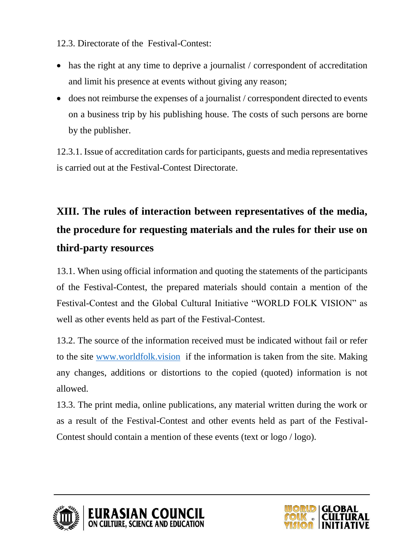12.3. Directorate of the Festival-Contest:

- has the right at any time to deprive a journalist / correspondent of accreditation and limit his presence at events without giving any reason;
- does not reimburse the expenses of a journalist / correspondent directed to events on a business trip by his publishing house. The costs of such persons are borne by the publisher.

12.3.1. Issue of accreditation cards for participants, guests and media representatives is carried out at the Festival-Contest Directorate.

# **XIII. The rules of interaction between representatives of the media, the procedure for requesting materials and the rules for their use on third-party resources**

13.1. When using official information and quoting the statements of the participants of the Festival-Contest, the prepared materials should contain a mention of the Festival-Contest and the Global Cultural Initiative "WORLD FOLK VISION" as well as other events held as part of the Festival-Contest.

13.2. The source of the information received must be indicated without fail or refer to the site [www.worldfolk.vision](http://www.worldfolk.vision/) if the information is taken from the site. Making any changes, additions or distortions to the copied (quoted) information is not allowed.

13.3. The print media, online publications, any material written during the work or as a result of the Festival-Contest and other events held as part of the Festival-Contest should contain a mention of these events (text or logo / logo).



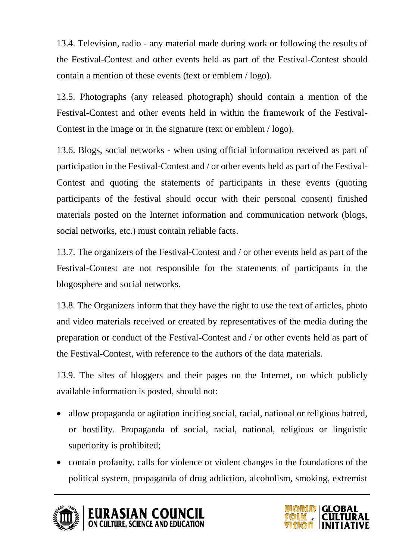13.4. Television, radio - any material made during work or following the results of the Festival-Contest and other events held as part of the Festival-Contest should contain a mention of these events (text or emblem / logo).

13.5. Photographs (any released photograph) should contain a mention of the Festival-Contest and other events held in within the framework of the Festival-Contest in the image or in the signature (text or emblem / logo).

13.6. Blogs, social networks - when using official information received as part of participation in the Festival-Contest and / or other events held as part of the Festival-Contest and quoting the statements of participants in these events (quoting participants of the festival should occur with their personal consent) finished materials posted on the Internet information and communication network (blogs, social networks, etc.) must contain reliable facts.

13.7. The organizers of the Festival-Contest and / or other events held as part of the Festival-Contest are not responsible for the statements of participants in the blogosphere and social networks.

13.8. The Organizers inform that they have the right to use the text of articles, photo and video materials received or created by representatives of the media during the preparation or conduct of the Festival-Contest and / or other events held as part of the Festival-Contest, with reference to the authors of the data materials.

13.9. The sites of bloggers and their pages on the Internet, on which publicly available information is posted, should not:

- allow propaganda or agitation inciting social, racial, national or religious hatred, or hostility. Propaganda of social, racial, national, religious or linguistic superiority is prohibited;
- contain profanity, calls for violence or violent changes in the foundations of the political system, propaganda of drug addiction, alcoholism, smoking, extremist



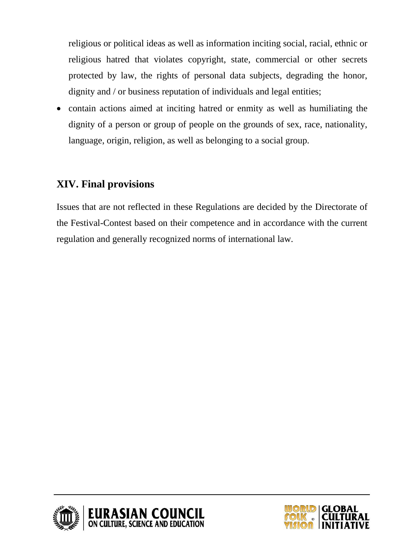religious or political ideas as well as information inciting social, racial, ethnic or religious hatred that violates copyright, state, commercial or other secrets protected by law, the rights of personal data subjects, degrading the honor, dignity and / or business reputation of individuals and legal entities;

• contain actions aimed at inciting hatred or enmity as well as humiliating the dignity of a person or group of people on the grounds of sex, race, nationality, language, origin, religion, as well as belonging to a social group.

## **XIV. Final provisions**

Issues that are not reflected in these Regulations are decided by the Directorate of the Festival-Contest based on their competence and in accordance with the current regulation and generally recognized norms of international law.